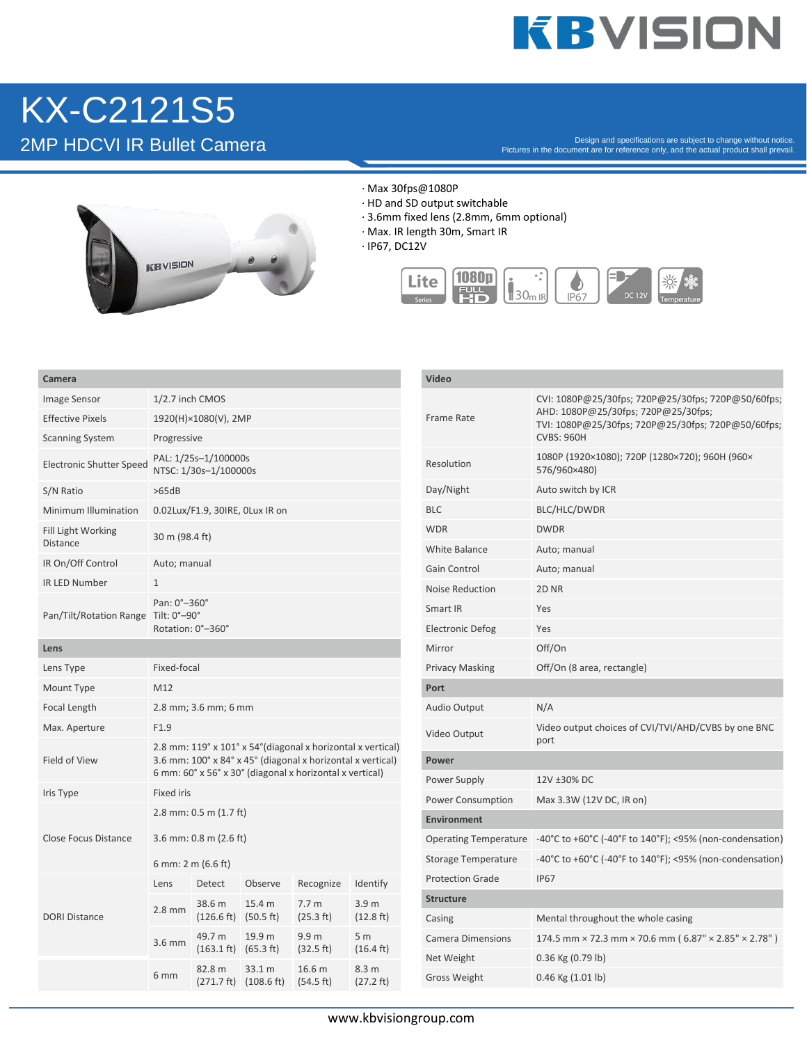## **KBVISION**

## KX-C2121S5

Pesign and specifications are subject to change without notice.<br>Pictures in the document are for reference only, and the actual product shall prevail.<br>Pictures in the document are for reference only, and the actual product



- · Max 30fps@1080P
- · HD and SD output switchable
- · 3.6mm fixed lens (2.8mm, 6mm optional)
- · Max. IR length 30m, Smart IR
- · IP67, DC12V



| Camera                               |                                                                                                                         |                                                    |                                                     |                                          | Video               |                            |                                                                                                                                                                      |
|--------------------------------------|-------------------------------------------------------------------------------------------------------------------------|----------------------------------------------------|-----------------------------------------------------|------------------------------------------|---------------------|----------------------------|----------------------------------------------------------------------------------------------------------------------------------------------------------------------|
| Image Sensor                         | 1/2.7 inch CMOS                                                                                                         |                                                    |                                                     |                                          |                     |                            | CVI: 1080P@25/30fps; 720P@25/30fps; 720P@50/60fps;<br>AHD: 1080P@25/30fps; 720P@25/30fps;<br>TVI: 1080P@25/30fps; 720P@25/30fps; 720P@50/60fps;<br><b>CVBS: 960H</b> |
| <b>Effective Pixels</b>              | 1920(H)×1080(V), 2MP                                                                                                    |                                                    |                                                     |                                          |                     | Frame Rate                 |                                                                                                                                                                      |
| <b>Scanning System</b>               | Progressive                                                                                                             |                                                    |                                                     |                                          |                     |                            |                                                                                                                                                                      |
| <b>Electronic Shutter Speed</b>      | PAL: 1/25s-1/100000s<br>NTSC: 1/30s-1/100000s                                                                           |                                                    |                                                     |                                          |                     | Resolution                 | 1080P (1920×1080); 720P (1280×720); 960H (960×<br>576/960×480)                                                                                                       |
| S/N Ratio                            | >65dB                                                                                                                   |                                                    |                                                     |                                          |                     | Day/Night                  | Auto switch by ICR                                                                                                                                                   |
| Minimum Illumination                 | 0.02Lux/F1.9, 30IRE, OLux IR on                                                                                         |                                                    |                                                     |                                          |                     | <b>BLC</b>                 | BLC/HLC/DWDR                                                                                                                                                         |
| Fill Light Working<br>Distance       | 30 m (98.4 ft)                                                                                                          |                                                    |                                                     |                                          |                     | <b>WDR</b>                 | <b>DWDR</b>                                                                                                                                                          |
| IR On/Off Control                    | Auto; manual                                                                                                            |                                                    |                                                     |                                          |                     | <b>White Balance</b>       | Auto; manual                                                                                                                                                         |
| <b>IR LED Number</b>                 | $\mathbf{1}$                                                                                                            |                                                    |                                                     |                                          |                     | Gain Control               | Auto; manual                                                                                                                                                         |
|                                      |                                                                                                                         |                                                    |                                                     |                                          |                     | <b>Noise Reduction</b>     | 2D <sub>NR</sub>                                                                                                                                                     |
| Pan/Tilt/Rotation Range Tilt: 0°-90° | Pan: 0°-360°                                                                                                            |                                                    |                                                     |                                          |                     | Smart IR                   | Yes                                                                                                                                                                  |
|                                      |                                                                                                                         | Rotation: 0°-360°                                  |                                                     |                                          |                     | <b>Electronic Defog</b>    | Yes                                                                                                                                                                  |
| Lens                                 |                                                                                                                         |                                                    |                                                     |                                          |                     | Mirror                     | Off/On                                                                                                                                                               |
| Lens Type                            | Fixed-focal                                                                                                             |                                                    |                                                     |                                          |                     | <b>Privacy Masking</b>     | Off/On (8 area, rectangle)                                                                                                                                           |
| Mount Type                           | M12                                                                                                                     |                                                    |                                                     |                                          |                     | Port                       |                                                                                                                                                                      |
| Focal Length                         | 2.8 mm; 3.6 mm; 6 mm                                                                                                    |                                                    |                                                     |                                          |                     | Audio Output               | N/A                                                                                                                                                                  |
| Max. Aperture                        | F1.9<br>2.8 mm: 119° x 101° x 54° (diagonal x horizontal x vertical)                                                    |                                                    |                                                     |                                          |                     | Video Output               | Video output choices of CVI/TVI/AHD/CVBS by one BNC<br>port                                                                                                          |
| Field of View                        | 3.6 mm: 100° x 84° x 45° (diagonal x horizontal x vertical)<br>6 mm: 60° x 56° x 30° (diagonal x horizontal x vertical) |                                                    |                                                     |                                          |                     | Power                      |                                                                                                                                                                      |
|                                      |                                                                                                                         |                                                    |                                                     |                                          |                     | Power Supply               | 12V ±30% DC                                                                                                                                                          |
| Iris Type                            | Fixed iris                                                                                                              |                                                    |                                                     |                                          |                     | Power Consumption          | Max 3.3W (12V DC, IR on)                                                                                                                                             |
| Close Focus Distance                 | 2.8 mm: $0.5$ m $(1.7$ ft)                                                                                              |                                                    |                                                     |                                          |                     | <b>Environment</b>         |                                                                                                                                                                      |
|                                      |                                                                                                                         | 3.6 mm: $0.8$ m ( $2.6$ ft)                        |                                                     |                                          |                     |                            | Operating Temperature -40°C to +60°C (-40°F to 140°F); <95% (non-condensation)                                                                                       |
|                                      |                                                                                                                         | 6 mm: 2 m (6.6 ft)                                 |                                                     |                                          |                     | <b>Storage Temperature</b> | -40°C to +60°C (-40°F to 140°F); <95% (non-condensation)                                                                                                             |
| <b>DORI Distance</b>                 | Lens                                                                                                                    | Detect                                             | Observe                                             | Recognize                                | Identify            | <b>Protection Grade</b>    | <b>IP67</b>                                                                                                                                                          |
|                                      |                                                                                                                         | 38.6 m                                             | 15.4 m                                              | 7.7 <sub>m</sub>                         | 3.9 <sub>m</sub>    | <b>Structure</b>           |                                                                                                                                                                      |
|                                      | $2.8$ mm                                                                                                                | $(126.6 \text{ ft})$ $(50.5 \text{ ft})$           |                                                     | (25.3 ft)                                | $(12.8 \text{ ft})$ | Casing                     | Mental throughout the whole casing                                                                                                                                   |
|                                      | $3.6$ mm                                                                                                                | 49.7 m<br>$(163.1 \text{ ft})$ $(65.3 \text{ ft})$ | 19.9 m                                              | 9.9 <sub>m</sub><br>(32.5 ft)            | 5 <sub>m</sub>      | <b>Camera Dimensions</b>   | 174.5 mm × 72.3 mm × 70.6 mm (6.87" × 2.85" × 2.78")                                                                                                                 |
|                                      |                                                                                                                         | 82.8 m                                             | 33.1 m<br>$(271.7 \text{ ft})$ $(108.6 \text{ ft})$ | 16.6 <sub>m</sub><br>$(54.5 \text{ ft})$ | $(16.4 \text{ ft})$ | Net Weight                 | 0.36 Kg (0.79 lb)                                                                                                                                                    |
|                                      | 6 <sub>mm</sub>                                                                                                         |                                                    |                                                     |                                          | 8.3 m<br>(27.2 ft)  | Gross Weight               | $0.46$ Kg $(1.01$ lb)                                                                                                                                                |
|                                      |                                                                                                                         |                                                    |                                                     |                                          |                     |                            |                                                                                                                                                                      |